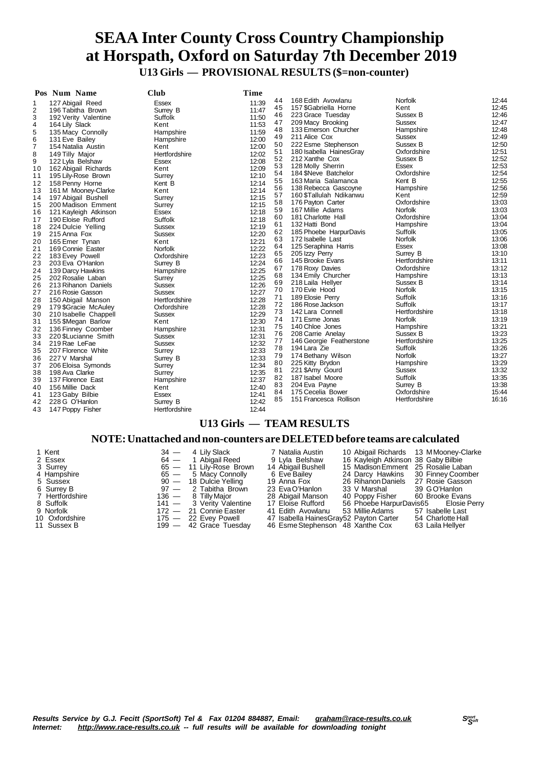## **SEAA Inter County Cross Country Championship at Horspath, Oxford on Saturday 7th December 2019 U13 Girls — PROVISIONAL RESULTS (\$=non-counter)**

|                | Pos Num Name          | <b>Club</b>    | Time  |    |                          |                |       |
|----------------|-----------------------|----------------|-------|----|--------------------------|----------------|-------|
| 1              | 127 Abigail Reed      | <b>Essex</b>   | 11:39 | 44 | 168 Edith Avowlanu       | <b>Norfolk</b> | 12:44 |
| 2              | 196 Tabitha Brown     | Surrey B       | 11:47 | 45 | 157 \$Gabriella Horne    | Kent           | 12:45 |
| 3              | 192 Verity Valentine  | Suffolk        | 11:50 | 46 | 223 Grace Tuesday        | Sussex B       | 12:46 |
| $\overline{4}$ | 164 Lily Slack        | Kent           | 11:53 | 47 | 209 Macy Brooking        | <b>Sussex</b>  | 12:47 |
| 5              | 135 Macy Connolly     | Hampshire      | 11:59 | 48 | 133 Emerson Churcher     | Hampshire      | 12:48 |
| 6              | 131 Eve Bailey        | Hampshire      | 12:00 | 49 | 211 Alice Cox            | Sussex         | 12:49 |
| $\overline{7}$ | 154 Natalia Austin    | Kent           | 12:00 | 50 | 222 Esme Stephenson      | Sussex B       | 12:50 |
| 8              | 149 Tilly Major       | Hertfordshire  | 12:02 | 51 | 180 Isabella HainesGray  | Oxfordshire    | 12:51 |
| 9              | 122 Lyla Belshaw      | <b>Essex</b>   | 12:08 | 52 | 212 Xanthe Cox           | Sussex B       | 12:52 |
| 10             | 162 Abigail Richards  | Kent           | 12:09 | 53 | 128 Molly Sherrin        | Essex          | 12:53 |
| 11             | 195 Lily-Rose Brown   | Surrey         | 12:10 | 54 | 184 SNeve Batchelor      | Oxfordshire    | 12:54 |
| 12             | 158 Penny Horne       | Kent B         | 12:14 | 55 | 163 Maria Salamanca      | Kent B         | 12:55 |
| 13             | 161 M Mooney-Clarke   | Kent           | 12:14 | 56 | 138 Rebecca Gascoyne     | Hampshire      | 12:56 |
| 14             | 197 Abigail Bushell   | Surrey         | 12:15 | 57 | 160 \$Tallulah Ndikanwu  | Kent           | 12:59 |
| 15             | 200 Madison Emment    | Surrey         | 12:15 | 58 | 176 Payton Carter        | Oxfordshire    | 13:03 |
| 16             | 121 Kayleigh Atkinson | <b>Essex</b>   | 12:18 | 59 | 167 Millie Adams         | <b>Norfolk</b> | 13:03 |
| 17             | 190 Eloise Rufford    | Suffolk        | 12:18 | 60 | 181 Charlotte Hall       | Oxfordshire    | 13:04 |
| 18             | 224 Dulcie Yelling    | <b>Sussex</b>  | 12:19 | 61 | 132 Hatti Bond           | Hampshire      | 13:04 |
| 19             | 215 Anna Fox          | <b>Sussex</b>  | 12:20 | 62 | 185 Phoebe HarpurDavis   | Suffolk        | 13:05 |
| 20             | 165 Emer Tynan        | Kent           | 12:21 | 63 | 172 Isabelle Last        | <b>Norfolk</b> | 13:06 |
| 21             | 169 Connie Easter     | <b>Norfolk</b> | 12:22 | 64 | 125 Seraphina Harris     | <b>Essex</b>   | 13:08 |
| 22             | 183 Evey Powell       | Oxfordshire    | 12:23 | 65 | 205 Izzy Perry           | Surrey B       | 13:10 |
| 23             | 203 Eva O'Hanlon      | Surrey B       | 12:24 | 66 | 145 Brooke Evans         | Hertfordshire  | 13:11 |
| 24             | 139 Darcy Hawkins     | Hampshire      | 12:25 | 67 | 178 Roxy Davies          | Oxfordshire    | 13:12 |
| 25             | 202 Rosalie Laban     | Surrey         | 12:25 | 68 | 134 Emily Churcher       | Hampshire      | 13:13 |
| 26             | 213 Rihanon Daniels   | <b>Sussex</b>  | 12:26 | 69 | 218 Laila Hellyer        | Sussex B       | 13:14 |
| 27             | 216 Rosie Gasson      | Sussex         | 12:27 | 70 | 170 Evie Hood            | Norfolk        | 13:15 |
| 28             | 150 Abigail Manson    | Hertfordshire  | 12:28 | 71 | 189 Elosie Perry         | Suffolk        | 13:16 |
| 29             | 179 \$Gracie McAuley  | Oxfordshire    | 12:28 | 72 | 186 Rose Jackson         | Suffolk        | 13:17 |
| 30             | 210 Isabelle Chappell | <b>Sussex</b>  | 12:29 | 73 | 142 Lara Connell         | Hertfordshire  | 13:18 |
| 31             | 155 \$Megan Barlow    | Kent           | 12:30 | 74 | 171 Esme Jonas           | <b>Norfolk</b> | 13:19 |
| 32             | 136 Finney Coomber    | Hampshire      | 12:31 | 75 | 140 Chloe Jones          | Hampshire      | 13:21 |
| 33             | 220 \$Lucianne Smith  | Sussex         | 12:31 | 76 | 208 Carrie Anelay        | Sussex B       | 13:23 |
| 34             | 219 Rae LeFae         | <b>Sussex</b>  | 12:32 | 77 | 146 Georgie Featherstone | Hertfordshire  | 13:25 |
| 35             | 207 Florence White    | Surrey         | 12:33 | 78 | 194 Lara Zie             | Suffolk        | 13:26 |
| 36             | 227 V Marshal         | Surrey B       | 12:33 | 79 | 174 Bethany Wilson       | <b>Norfolk</b> | 13:27 |
| 37             | 206 Eloisa Symonds    | Surrey         | 12:34 | 80 | 225 Kitty Brydon         | Hampshire      | 13:29 |
| 38             | 198 Ava Clarke        | Surrey         | 12:35 | 81 | 221 \$Amy Gourd          | <b>Sussex</b>  | 13:32 |
| 39             | 137 Florence East     | Hampshire      | 12:37 | 82 | 187 Isabel Moore         | Suffolk        | 13:35 |
| 40             | 156 Millie Dack       | Kent           | 12:40 | 83 | 204 Eva Payne            | Surrey B       | 13:38 |
| 41             | 123 Gaby Bilbie       | Essex          | 12:41 | 84 | 175 Cecelia Bower        | Oxfordshire    | 15:44 |
| 42             | 228 G O'Hanlon        | Surrey B       | 12:42 | 85 | 151 Francesca Rollison   | Hertfordshire  | 16:16 |
| 43             | 147 Poppy Fisher      | Hertfordshire  | 12:44 |    |                          |                |       |
|                |                       |                |       |    |                          |                |       |

### **U13 Girls — TEAM RESULTS**

### **NOTE:Unattached and non-counters are DELETEDbefore teams are calculated**

| 1 Kent          | $34 - 4$ Lily Slack      | 7 Natalia Austin                       | 10 Abigail Richards 13 M Mooney-Clarke |                                      |
|-----------------|--------------------------|----------------------------------------|----------------------------------------|--------------------------------------|
| 2 Essex         | 64 — 1 Abigail Reed      | 9 Lvla Belshaw                         | 16 Kayleigh Atkinson 38 Gaby Bilbie    |                                      |
| 3 Surrey        | 65 - 11 Lily-Rose Brown  | 14 Abigail Bushell                     | 15 Madison Emment 25 Rosalie Laban     |                                      |
| 4 Hampshire     | 65 - 5 Macy Connolly     | 6 Eve Bailey                           | 24 Darcy Hawkins 30 Finney Coomber     |                                      |
| 5 Sussex        | 90 — 18 Dulcie Yelling   | 19 Anna Fox                            | 26 Rihanon Daniels 27 Rosie Gasson     |                                      |
| 6 Surrey B      | $97 - 2$ Tabitha Brown   | 23 EvaO'Hanlon                         | 33 V Marshal                           | 39 GO'Hanlon                         |
| 7 Hertfordshire | 136 — 8 Tillv Maior      | 28 Abigail Manson                      | 40 Poppy Fisher 60 Brooke Evans        |                                      |
| 8 Suffolk       | 141 - 3 Verity Valentine | 17 Eloise Rufford                      |                                        | 56 Phoebe HarpurDavis65 Elosie Perry |
| 9 Norfolk       | 172 - 21 Connie Easter   | 41 Edith Avowlanu                      | 53 Millie Adams                        | 57 Isabelle Last                     |
| 10 Oxfordshire  | 175 - 22 Evey Powell     | 47 Isabella HainesGray52 Payton Carter |                                        | 54 Charlotte Hall                    |
| 11 Sussex B     | $199 - 42$ Grace Tuesday | 46 Esme Stephenson 48 Xanthe Cox       |                                        | 63 Laila Hellyer                     |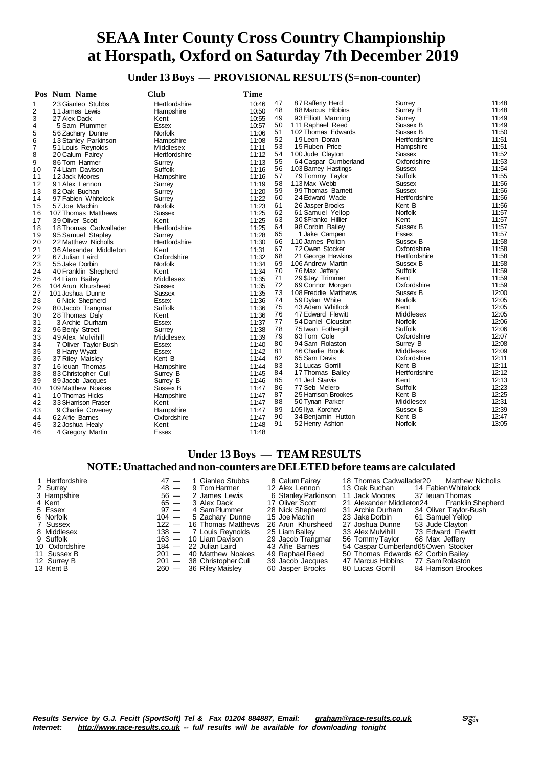**Under 13 Boys — PROVISIONAL RESULTS (\$=non-counter)**

| 11:48<br>47<br>87 Rafferty Herd<br>Surrey<br>23 Gianleo Stubbs<br>Hertfordshire<br>10:46<br>1<br>11:48<br>48<br>88 Marcus Hibbins<br>2<br>10:50<br>Surrey B<br>11 James Lewis<br>Hampshire<br>11:49<br>49<br>93 Elliott Manning<br>3<br>10:55<br>Surrey<br>27 Alex Dack<br>Kent<br>50<br>11:49<br>111 Raphael Reed<br>Sussex B<br>4<br>10:57<br>5 Sam Plummer<br><b>Essex</b><br>51<br>11:50<br>102 Thomas Edwards<br>Sussex B<br>5<br>Norfolk<br>56 Zachary Dunne<br>11:06<br>52<br>11:51<br>19 Leon Doran<br>Hertfordshire<br>6<br>11:08<br>13 Stanley Parkinson<br>Hampshire<br>53<br>11:51<br>15 Ruben Price<br>Hampshire<br>7<br>Middlesex<br>11:11<br>51 Louis Reynolds<br>11:52<br>54<br>100 Jude Clayton<br><b>Sussex</b><br>8<br>20 Calum Fairey<br>Hertfordshire<br>11:12<br>11:53<br>Oxfordshire<br>55<br>64 Caspar Cumberland<br>9<br>86 Tom Harmer<br>Surrey<br>11:13<br>11:54<br>56<br><b>Sussex</b><br>103 Barney Hastings<br>10<br>74 Liam Davison<br>Suffolk<br>11:16<br>57<br>Suffolk<br>11:55<br>79 Tommy Taylor<br>Hampshire<br>11<br>12 Jack Moores<br>11:16<br>58<br>11:56<br>113 Max Webb<br>Sussex<br>91 Alex Lennon<br>11:19<br>12<br>Surrey<br>59<br>11:56<br>99 Thomas Barnett<br>Sussex<br>13<br>11:20<br>82 Oak Buchan<br>Surrey<br>60<br>24 Edward Wade<br>Hertfordshire<br>11:56<br>11:22<br>14<br>97 Fabien Whitelock<br>Surrey<br>61<br>11:56<br>26 Jasper Brooks<br>Kent B<br>Norfolk<br>11:23<br>15<br>57 Joe Machin<br>Norfolk<br>11:57<br>62<br>61 Samuel Yellop<br>11:25<br>107 Thomas Matthews<br><b>Sussex</b><br>16<br>63<br>11:57<br>30 \$Franko Hillier<br>Kent<br>11:25<br>17<br>39 Oliver Scott<br>Kent<br>64<br>11:57<br>98 Corbin Bailey<br>Sussex B<br>18 Thomas Cadwallader<br>11:25<br>18<br>Hertfordshire<br>65<br>11:57<br>1 Jake Campen<br>Essex<br>95 Samuel Stapley<br>11:28<br>19<br>Surrey<br>66<br>11:58<br>110 James Polton<br>Sussex B<br>11:30<br>20<br>22 Matthew Nicholls<br>Hertfordshire<br>11:58<br>67<br>72 Owen Stocker<br>Oxfordshire<br>21<br>11:31<br>36 Alexander Middleton<br>Kent<br>68<br>Hertfordshire<br>11:58<br>21 George Hawkins<br>22<br>11:32<br>67 Julian Laird<br>Oxfordshire<br>11:58<br>69<br>106 Andrew Martin<br>Sussex B<br>23<br><b>Norfolk</b><br>11:34<br>55 Jake Dorbin<br>11:59<br>70<br>76 Max Jeffery<br>Suffolk<br>24<br>11:34<br>40 Franklin Shepherd<br>Kent<br>71<br>11:59<br>29 \$Jay Trimmer<br>Kent<br>25<br>Middlesex<br>11:35<br>44 Liam Bailev<br>72<br>11:59<br>69 Connor Morgan<br>Oxfordshire<br>26<br>104 Arun Khursheed<br><b>Sussex</b><br>11:35<br>73<br>12:00<br>108 Freddie Matthews<br>Sussex B<br>27<br>11:35<br>101 Joshua Dunne<br><b>Sussex</b><br>74<br><b>Norfolk</b><br>12:05<br>59 Dylan White<br>11:36<br>28<br>6 Nick Shepherd<br><b>Essex</b><br>75<br>12:05<br>43 Adam Whitlock<br>Kent<br><b>Suffolk</b><br>11:36<br>29<br>80 Jacob Trangmar<br>12:05<br>76<br>47 Edward Flewitt<br>Middlesex<br>30<br>11:36<br>28 Thomas Daly<br>Kent<br>12:06<br>77<br>Norfolk<br>54 Daniel Clouston<br>11:37<br>31<br>3 Archie Durham<br>Essex<br>78<br>Suffolk<br>12:06<br>75 Iwan Fothergill<br>32<br>11:38<br>96 Benjy Street<br>Surrey<br>12:07<br>79<br>63 Tom Cole<br>Oxfordshire<br>33<br>49 Alex Mulvihill<br>Middlesex<br>11:39<br>80<br>12:08<br>94 Sam Rolaston<br>Surrey B<br>34<br>11:40<br>7 Oliver Taylor-Bush<br><b>Essex</b><br>12:09<br>81<br>46 Charlie Brook<br>Middlesex<br>35<br><b>Essex</b><br>11:42<br>8 Harry Wyatt<br>82<br>12:11<br>65 Sam Davis<br>Oxfordshire<br>36<br>37 Riley Maisley<br>Kent B<br>11:44<br>83<br>Kent B<br>12:11<br>31 Lucas Gorrill<br>37<br>16 leuan Thomas<br>11:44<br>Hampshire<br>84<br>Hertfordshire<br>12:12<br>17 Thomas Bailey<br>11:45<br>38<br>83 Christopher Cull<br>Surrey B<br>12:13<br>85<br>41 Jed Starvis<br>Kent<br>39<br>89 Jacob Jacques<br>11:46<br>Surrey B<br>Suffolk<br>12:23<br>86<br>77 Seb Melero<br>109 Matthew Noakes<br>Sussex B<br>11:47<br>40<br>12:25<br>87<br>25 Harrison Brookes<br>Kent B<br>41<br>11:47<br>10 Thomas Hicks<br>Hampshire<br>12:31<br>88<br>50 Tynan Parker<br>Middlesex<br>42<br>11:47<br>33 \$Harrison Fraser<br>Kent<br>12:39<br>89<br>Sussex B<br>105 Ilya Korchev<br>11:47<br>43<br>9 Charlie Coveney<br>Hampshire<br>12:47<br>90<br>34 Benjamin Hutton<br>Kent B<br>62 Alfie Barnes<br>Oxfordshire<br>11:47<br>44<br>13:05<br>91<br>Norfolk<br>52 Henry Ashton<br>45<br>11:48<br>32 Joshua Healy<br>Kent<br>46<br>11:48<br>4 Gregory Martin<br><b>Essex</b> | Pos Num Name | <b>Club</b> | Time |  |  |
|-------------------------------------------------------------------------------------------------------------------------------------------------------------------------------------------------------------------------------------------------------------------------------------------------------------------------------------------------------------------------------------------------------------------------------------------------------------------------------------------------------------------------------------------------------------------------------------------------------------------------------------------------------------------------------------------------------------------------------------------------------------------------------------------------------------------------------------------------------------------------------------------------------------------------------------------------------------------------------------------------------------------------------------------------------------------------------------------------------------------------------------------------------------------------------------------------------------------------------------------------------------------------------------------------------------------------------------------------------------------------------------------------------------------------------------------------------------------------------------------------------------------------------------------------------------------------------------------------------------------------------------------------------------------------------------------------------------------------------------------------------------------------------------------------------------------------------------------------------------------------------------------------------------------------------------------------------------------------------------------------------------------------------------------------------------------------------------------------------------------------------------------------------------------------------------------------------------------------------------------------------------------------------------------------------------------------------------------------------------------------------------------------------------------------------------------------------------------------------------------------------------------------------------------------------------------------------------------------------------------------------------------------------------------------------------------------------------------------------------------------------------------------------------------------------------------------------------------------------------------------------------------------------------------------------------------------------------------------------------------------------------------------------------------------------------------------------------------------------------------------------------------------------------------------------------------------------------------------------------------------------------------------------------------------------------------------------------------------------------------------------------------------------------------------------------------------------------------------------------------------------------------------------------------------------------------------------------------------------------------------------------------------------------------------------------------------------------------------------------------------------------------------------------------------------------------------------------------------------------------------------------------------------------------------------------------------------------------------------------------------------------------------------------------------------------------------------------------------------------------------------------------------------------------------------------------------------------------------------------------------------------------------------------------------------------------------------------------------------------------------------------------------------------------------------------------------------------------------------------------|--------------|-------------|------|--|--|
|                                                                                                                                                                                                                                                                                                                                                                                                                                                                                                                                                                                                                                                                                                                                                                                                                                                                                                                                                                                                                                                                                                                                                                                                                                                                                                                                                                                                                                                                                                                                                                                                                                                                                                                                                                                                                                                                                                                                                                                                                                                                                                                                                                                                                                                                                                                                                                                                                                                                                                                                                                                                                                                                                                                                                                                                                                                                                                                                                                                                                                                                                                                                                                                                                                                                                                                                                                                                                                                                                                                                                                                                                                                                                                                                                                                                                                                                                                                                                                                                                                                                                                                                                                                                                                                                                                                                                                                                                                                                                           |              |             |      |  |  |
|                                                                                                                                                                                                                                                                                                                                                                                                                                                                                                                                                                                                                                                                                                                                                                                                                                                                                                                                                                                                                                                                                                                                                                                                                                                                                                                                                                                                                                                                                                                                                                                                                                                                                                                                                                                                                                                                                                                                                                                                                                                                                                                                                                                                                                                                                                                                                                                                                                                                                                                                                                                                                                                                                                                                                                                                                                                                                                                                                                                                                                                                                                                                                                                                                                                                                                                                                                                                                                                                                                                                                                                                                                                                                                                                                                                                                                                                                                                                                                                                                                                                                                                                                                                                                                                                                                                                                                                                                                                                                           |              |             |      |  |  |
|                                                                                                                                                                                                                                                                                                                                                                                                                                                                                                                                                                                                                                                                                                                                                                                                                                                                                                                                                                                                                                                                                                                                                                                                                                                                                                                                                                                                                                                                                                                                                                                                                                                                                                                                                                                                                                                                                                                                                                                                                                                                                                                                                                                                                                                                                                                                                                                                                                                                                                                                                                                                                                                                                                                                                                                                                                                                                                                                                                                                                                                                                                                                                                                                                                                                                                                                                                                                                                                                                                                                                                                                                                                                                                                                                                                                                                                                                                                                                                                                                                                                                                                                                                                                                                                                                                                                                                                                                                                                                           |              |             |      |  |  |
|                                                                                                                                                                                                                                                                                                                                                                                                                                                                                                                                                                                                                                                                                                                                                                                                                                                                                                                                                                                                                                                                                                                                                                                                                                                                                                                                                                                                                                                                                                                                                                                                                                                                                                                                                                                                                                                                                                                                                                                                                                                                                                                                                                                                                                                                                                                                                                                                                                                                                                                                                                                                                                                                                                                                                                                                                                                                                                                                                                                                                                                                                                                                                                                                                                                                                                                                                                                                                                                                                                                                                                                                                                                                                                                                                                                                                                                                                                                                                                                                                                                                                                                                                                                                                                                                                                                                                                                                                                                                                           |              |             |      |  |  |
|                                                                                                                                                                                                                                                                                                                                                                                                                                                                                                                                                                                                                                                                                                                                                                                                                                                                                                                                                                                                                                                                                                                                                                                                                                                                                                                                                                                                                                                                                                                                                                                                                                                                                                                                                                                                                                                                                                                                                                                                                                                                                                                                                                                                                                                                                                                                                                                                                                                                                                                                                                                                                                                                                                                                                                                                                                                                                                                                                                                                                                                                                                                                                                                                                                                                                                                                                                                                                                                                                                                                                                                                                                                                                                                                                                                                                                                                                                                                                                                                                                                                                                                                                                                                                                                                                                                                                                                                                                                                                           |              |             |      |  |  |
|                                                                                                                                                                                                                                                                                                                                                                                                                                                                                                                                                                                                                                                                                                                                                                                                                                                                                                                                                                                                                                                                                                                                                                                                                                                                                                                                                                                                                                                                                                                                                                                                                                                                                                                                                                                                                                                                                                                                                                                                                                                                                                                                                                                                                                                                                                                                                                                                                                                                                                                                                                                                                                                                                                                                                                                                                                                                                                                                                                                                                                                                                                                                                                                                                                                                                                                                                                                                                                                                                                                                                                                                                                                                                                                                                                                                                                                                                                                                                                                                                                                                                                                                                                                                                                                                                                                                                                                                                                                                                           |              |             |      |  |  |
|                                                                                                                                                                                                                                                                                                                                                                                                                                                                                                                                                                                                                                                                                                                                                                                                                                                                                                                                                                                                                                                                                                                                                                                                                                                                                                                                                                                                                                                                                                                                                                                                                                                                                                                                                                                                                                                                                                                                                                                                                                                                                                                                                                                                                                                                                                                                                                                                                                                                                                                                                                                                                                                                                                                                                                                                                                                                                                                                                                                                                                                                                                                                                                                                                                                                                                                                                                                                                                                                                                                                                                                                                                                                                                                                                                                                                                                                                                                                                                                                                                                                                                                                                                                                                                                                                                                                                                                                                                                                                           |              |             |      |  |  |
|                                                                                                                                                                                                                                                                                                                                                                                                                                                                                                                                                                                                                                                                                                                                                                                                                                                                                                                                                                                                                                                                                                                                                                                                                                                                                                                                                                                                                                                                                                                                                                                                                                                                                                                                                                                                                                                                                                                                                                                                                                                                                                                                                                                                                                                                                                                                                                                                                                                                                                                                                                                                                                                                                                                                                                                                                                                                                                                                                                                                                                                                                                                                                                                                                                                                                                                                                                                                                                                                                                                                                                                                                                                                                                                                                                                                                                                                                                                                                                                                                                                                                                                                                                                                                                                                                                                                                                                                                                                                                           |              |             |      |  |  |
|                                                                                                                                                                                                                                                                                                                                                                                                                                                                                                                                                                                                                                                                                                                                                                                                                                                                                                                                                                                                                                                                                                                                                                                                                                                                                                                                                                                                                                                                                                                                                                                                                                                                                                                                                                                                                                                                                                                                                                                                                                                                                                                                                                                                                                                                                                                                                                                                                                                                                                                                                                                                                                                                                                                                                                                                                                                                                                                                                                                                                                                                                                                                                                                                                                                                                                                                                                                                                                                                                                                                                                                                                                                                                                                                                                                                                                                                                                                                                                                                                                                                                                                                                                                                                                                                                                                                                                                                                                                                                           |              |             |      |  |  |
|                                                                                                                                                                                                                                                                                                                                                                                                                                                                                                                                                                                                                                                                                                                                                                                                                                                                                                                                                                                                                                                                                                                                                                                                                                                                                                                                                                                                                                                                                                                                                                                                                                                                                                                                                                                                                                                                                                                                                                                                                                                                                                                                                                                                                                                                                                                                                                                                                                                                                                                                                                                                                                                                                                                                                                                                                                                                                                                                                                                                                                                                                                                                                                                                                                                                                                                                                                                                                                                                                                                                                                                                                                                                                                                                                                                                                                                                                                                                                                                                                                                                                                                                                                                                                                                                                                                                                                                                                                                                                           |              |             |      |  |  |
|                                                                                                                                                                                                                                                                                                                                                                                                                                                                                                                                                                                                                                                                                                                                                                                                                                                                                                                                                                                                                                                                                                                                                                                                                                                                                                                                                                                                                                                                                                                                                                                                                                                                                                                                                                                                                                                                                                                                                                                                                                                                                                                                                                                                                                                                                                                                                                                                                                                                                                                                                                                                                                                                                                                                                                                                                                                                                                                                                                                                                                                                                                                                                                                                                                                                                                                                                                                                                                                                                                                                                                                                                                                                                                                                                                                                                                                                                                                                                                                                                                                                                                                                                                                                                                                                                                                                                                                                                                                                                           |              |             |      |  |  |
|                                                                                                                                                                                                                                                                                                                                                                                                                                                                                                                                                                                                                                                                                                                                                                                                                                                                                                                                                                                                                                                                                                                                                                                                                                                                                                                                                                                                                                                                                                                                                                                                                                                                                                                                                                                                                                                                                                                                                                                                                                                                                                                                                                                                                                                                                                                                                                                                                                                                                                                                                                                                                                                                                                                                                                                                                                                                                                                                                                                                                                                                                                                                                                                                                                                                                                                                                                                                                                                                                                                                                                                                                                                                                                                                                                                                                                                                                                                                                                                                                                                                                                                                                                                                                                                                                                                                                                                                                                                                                           |              |             |      |  |  |
|                                                                                                                                                                                                                                                                                                                                                                                                                                                                                                                                                                                                                                                                                                                                                                                                                                                                                                                                                                                                                                                                                                                                                                                                                                                                                                                                                                                                                                                                                                                                                                                                                                                                                                                                                                                                                                                                                                                                                                                                                                                                                                                                                                                                                                                                                                                                                                                                                                                                                                                                                                                                                                                                                                                                                                                                                                                                                                                                                                                                                                                                                                                                                                                                                                                                                                                                                                                                                                                                                                                                                                                                                                                                                                                                                                                                                                                                                                                                                                                                                                                                                                                                                                                                                                                                                                                                                                                                                                                                                           |              |             |      |  |  |
|                                                                                                                                                                                                                                                                                                                                                                                                                                                                                                                                                                                                                                                                                                                                                                                                                                                                                                                                                                                                                                                                                                                                                                                                                                                                                                                                                                                                                                                                                                                                                                                                                                                                                                                                                                                                                                                                                                                                                                                                                                                                                                                                                                                                                                                                                                                                                                                                                                                                                                                                                                                                                                                                                                                                                                                                                                                                                                                                                                                                                                                                                                                                                                                                                                                                                                                                                                                                                                                                                                                                                                                                                                                                                                                                                                                                                                                                                                                                                                                                                                                                                                                                                                                                                                                                                                                                                                                                                                                                                           |              |             |      |  |  |
|                                                                                                                                                                                                                                                                                                                                                                                                                                                                                                                                                                                                                                                                                                                                                                                                                                                                                                                                                                                                                                                                                                                                                                                                                                                                                                                                                                                                                                                                                                                                                                                                                                                                                                                                                                                                                                                                                                                                                                                                                                                                                                                                                                                                                                                                                                                                                                                                                                                                                                                                                                                                                                                                                                                                                                                                                                                                                                                                                                                                                                                                                                                                                                                                                                                                                                                                                                                                                                                                                                                                                                                                                                                                                                                                                                                                                                                                                                                                                                                                                                                                                                                                                                                                                                                                                                                                                                                                                                                                                           |              |             |      |  |  |
|                                                                                                                                                                                                                                                                                                                                                                                                                                                                                                                                                                                                                                                                                                                                                                                                                                                                                                                                                                                                                                                                                                                                                                                                                                                                                                                                                                                                                                                                                                                                                                                                                                                                                                                                                                                                                                                                                                                                                                                                                                                                                                                                                                                                                                                                                                                                                                                                                                                                                                                                                                                                                                                                                                                                                                                                                                                                                                                                                                                                                                                                                                                                                                                                                                                                                                                                                                                                                                                                                                                                                                                                                                                                                                                                                                                                                                                                                                                                                                                                                                                                                                                                                                                                                                                                                                                                                                                                                                                                                           |              |             |      |  |  |
|                                                                                                                                                                                                                                                                                                                                                                                                                                                                                                                                                                                                                                                                                                                                                                                                                                                                                                                                                                                                                                                                                                                                                                                                                                                                                                                                                                                                                                                                                                                                                                                                                                                                                                                                                                                                                                                                                                                                                                                                                                                                                                                                                                                                                                                                                                                                                                                                                                                                                                                                                                                                                                                                                                                                                                                                                                                                                                                                                                                                                                                                                                                                                                                                                                                                                                                                                                                                                                                                                                                                                                                                                                                                                                                                                                                                                                                                                                                                                                                                                                                                                                                                                                                                                                                                                                                                                                                                                                                                                           |              |             |      |  |  |
|                                                                                                                                                                                                                                                                                                                                                                                                                                                                                                                                                                                                                                                                                                                                                                                                                                                                                                                                                                                                                                                                                                                                                                                                                                                                                                                                                                                                                                                                                                                                                                                                                                                                                                                                                                                                                                                                                                                                                                                                                                                                                                                                                                                                                                                                                                                                                                                                                                                                                                                                                                                                                                                                                                                                                                                                                                                                                                                                                                                                                                                                                                                                                                                                                                                                                                                                                                                                                                                                                                                                                                                                                                                                                                                                                                                                                                                                                                                                                                                                                                                                                                                                                                                                                                                                                                                                                                                                                                                                                           |              |             |      |  |  |
|                                                                                                                                                                                                                                                                                                                                                                                                                                                                                                                                                                                                                                                                                                                                                                                                                                                                                                                                                                                                                                                                                                                                                                                                                                                                                                                                                                                                                                                                                                                                                                                                                                                                                                                                                                                                                                                                                                                                                                                                                                                                                                                                                                                                                                                                                                                                                                                                                                                                                                                                                                                                                                                                                                                                                                                                                                                                                                                                                                                                                                                                                                                                                                                                                                                                                                                                                                                                                                                                                                                                                                                                                                                                                                                                                                                                                                                                                                                                                                                                                                                                                                                                                                                                                                                                                                                                                                                                                                                                                           |              |             |      |  |  |
|                                                                                                                                                                                                                                                                                                                                                                                                                                                                                                                                                                                                                                                                                                                                                                                                                                                                                                                                                                                                                                                                                                                                                                                                                                                                                                                                                                                                                                                                                                                                                                                                                                                                                                                                                                                                                                                                                                                                                                                                                                                                                                                                                                                                                                                                                                                                                                                                                                                                                                                                                                                                                                                                                                                                                                                                                                                                                                                                                                                                                                                                                                                                                                                                                                                                                                                                                                                                                                                                                                                                                                                                                                                                                                                                                                                                                                                                                                                                                                                                                                                                                                                                                                                                                                                                                                                                                                                                                                                                                           |              |             |      |  |  |
|                                                                                                                                                                                                                                                                                                                                                                                                                                                                                                                                                                                                                                                                                                                                                                                                                                                                                                                                                                                                                                                                                                                                                                                                                                                                                                                                                                                                                                                                                                                                                                                                                                                                                                                                                                                                                                                                                                                                                                                                                                                                                                                                                                                                                                                                                                                                                                                                                                                                                                                                                                                                                                                                                                                                                                                                                                                                                                                                                                                                                                                                                                                                                                                                                                                                                                                                                                                                                                                                                                                                                                                                                                                                                                                                                                                                                                                                                                                                                                                                                                                                                                                                                                                                                                                                                                                                                                                                                                                                                           |              |             |      |  |  |
|                                                                                                                                                                                                                                                                                                                                                                                                                                                                                                                                                                                                                                                                                                                                                                                                                                                                                                                                                                                                                                                                                                                                                                                                                                                                                                                                                                                                                                                                                                                                                                                                                                                                                                                                                                                                                                                                                                                                                                                                                                                                                                                                                                                                                                                                                                                                                                                                                                                                                                                                                                                                                                                                                                                                                                                                                                                                                                                                                                                                                                                                                                                                                                                                                                                                                                                                                                                                                                                                                                                                                                                                                                                                                                                                                                                                                                                                                                                                                                                                                                                                                                                                                                                                                                                                                                                                                                                                                                                                                           |              |             |      |  |  |
|                                                                                                                                                                                                                                                                                                                                                                                                                                                                                                                                                                                                                                                                                                                                                                                                                                                                                                                                                                                                                                                                                                                                                                                                                                                                                                                                                                                                                                                                                                                                                                                                                                                                                                                                                                                                                                                                                                                                                                                                                                                                                                                                                                                                                                                                                                                                                                                                                                                                                                                                                                                                                                                                                                                                                                                                                                                                                                                                                                                                                                                                                                                                                                                                                                                                                                                                                                                                                                                                                                                                                                                                                                                                                                                                                                                                                                                                                                                                                                                                                                                                                                                                                                                                                                                                                                                                                                                                                                                                                           |              |             |      |  |  |
|                                                                                                                                                                                                                                                                                                                                                                                                                                                                                                                                                                                                                                                                                                                                                                                                                                                                                                                                                                                                                                                                                                                                                                                                                                                                                                                                                                                                                                                                                                                                                                                                                                                                                                                                                                                                                                                                                                                                                                                                                                                                                                                                                                                                                                                                                                                                                                                                                                                                                                                                                                                                                                                                                                                                                                                                                                                                                                                                                                                                                                                                                                                                                                                                                                                                                                                                                                                                                                                                                                                                                                                                                                                                                                                                                                                                                                                                                                                                                                                                                                                                                                                                                                                                                                                                                                                                                                                                                                                                                           |              |             |      |  |  |
|                                                                                                                                                                                                                                                                                                                                                                                                                                                                                                                                                                                                                                                                                                                                                                                                                                                                                                                                                                                                                                                                                                                                                                                                                                                                                                                                                                                                                                                                                                                                                                                                                                                                                                                                                                                                                                                                                                                                                                                                                                                                                                                                                                                                                                                                                                                                                                                                                                                                                                                                                                                                                                                                                                                                                                                                                                                                                                                                                                                                                                                                                                                                                                                                                                                                                                                                                                                                                                                                                                                                                                                                                                                                                                                                                                                                                                                                                                                                                                                                                                                                                                                                                                                                                                                                                                                                                                                                                                                                                           |              |             |      |  |  |
|                                                                                                                                                                                                                                                                                                                                                                                                                                                                                                                                                                                                                                                                                                                                                                                                                                                                                                                                                                                                                                                                                                                                                                                                                                                                                                                                                                                                                                                                                                                                                                                                                                                                                                                                                                                                                                                                                                                                                                                                                                                                                                                                                                                                                                                                                                                                                                                                                                                                                                                                                                                                                                                                                                                                                                                                                                                                                                                                                                                                                                                                                                                                                                                                                                                                                                                                                                                                                                                                                                                                                                                                                                                                                                                                                                                                                                                                                                                                                                                                                                                                                                                                                                                                                                                                                                                                                                                                                                                                                           |              |             |      |  |  |
|                                                                                                                                                                                                                                                                                                                                                                                                                                                                                                                                                                                                                                                                                                                                                                                                                                                                                                                                                                                                                                                                                                                                                                                                                                                                                                                                                                                                                                                                                                                                                                                                                                                                                                                                                                                                                                                                                                                                                                                                                                                                                                                                                                                                                                                                                                                                                                                                                                                                                                                                                                                                                                                                                                                                                                                                                                                                                                                                                                                                                                                                                                                                                                                                                                                                                                                                                                                                                                                                                                                                                                                                                                                                                                                                                                                                                                                                                                                                                                                                                                                                                                                                                                                                                                                                                                                                                                                                                                                                                           |              |             |      |  |  |
|                                                                                                                                                                                                                                                                                                                                                                                                                                                                                                                                                                                                                                                                                                                                                                                                                                                                                                                                                                                                                                                                                                                                                                                                                                                                                                                                                                                                                                                                                                                                                                                                                                                                                                                                                                                                                                                                                                                                                                                                                                                                                                                                                                                                                                                                                                                                                                                                                                                                                                                                                                                                                                                                                                                                                                                                                                                                                                                                                                                                                                                                                                                                                                                                                                                                                                                                                                                                                                                                                                                                                                                                                                                                                                                                                                                                                                                                                                                                                                                                                                                                                                                                                                                                                                                                                                                                                                                                                                                                                           |              |             |      |  |  |
|                                                                                                                                                                                                                                                                                                                                                                                                                                                                                                                                                                                                                                                                                                                                                                                                                                                                                                                                                                                                                                                                                                                                                                                                                                                                                                                                                                                                                                                                                                                                                                                                                                                                                                                                                                                                                                                                                                                                                                                                                                                                                                                                                                                                                                                                                                                                                                                                                                                                                                                                                                                                                                                                                                                                                                                                                                                                                                                                                                                                                                                                                                                                                                                                                                                                                                                                                                                                                                                                                                                                                                                                                                                                                                                                                                                                                                                                                                                                                                                                                                                                                                                                                                                                                                                                                                                                                                                                                                                                                           |              |             |      |  |  |
|                                                                                                                                                                                                                                                                                                                                                                                                                                                                                                                                                                                                                                                                                                                                                                                                                                                                                                                                                                                                                                                                                                                                                                                                                                                                                                                                                                                                                                                                                                                                                                                                                                                                                                                                                                                                                                                                                                                                                                                                                                                                                                                                                                                                                                                                                                                                                                                                                                                                                                                                                                                                                                                                                                                                                                                                                                                                                                                                                                                                                                                                                                                                                                                                                                                                                                                                                                                                                                                                                                                                                                                                                                                                                                                                                                                                                                                                                                                                                                                                                                                                                                                                                                                                                                                                                                                                                                                                                                                                                           |              |             |      |  |  |
|                                                                                                                                                                                                                                                                                                                                                                                                                                                                                                                                                                                                                                                                                                                                                                                                                                                                                                                                                                                                                                                                                                                                                                                                                                                                                                                                                                                                                                                                                                                                                                                                                                                                                                                                                                                                                                                                                                                                                                                                                                                                                                                                                                                                                                                                                                                                                                                                                                                                                                                                                                                                                                                                                                                                                                                                                                                                                                                                                                                                                                                                                                                                                                                                                                                                                                                                                                                                                                                                                                                                                                                                                                                                                                                                                                                                                                                                                                                                                                                                                                                                                                                                                                                                                                                                                                                                                                                                                                                                                           |              |             |      |  |  |
|                                                                                                                                                                                                                                                                                                                                                                                                                                                                                                                                                                                                                                                                                                                                                                                                                                                                                                                                                                                                                                                                                                                                                                                                                                                                                                                                                                                                                                                                                                                                                                                                                                                                                                                                                                                                                                                                                                                                                                                                                                                                                                                                                                                                                                                                                                                                                                                                                                                                                                                                                                                                                                                                                                                                                                                                                                                                                                                                                                                                                                                                                                                                                                                                                                                                                                                                                                                                                                                                                                                                                                                                                                                                                                                                                                                                                                                                                                                                                                                                                                                                                                                                                                                                                                                                                                                                                                                                                                                                                           |              |             |      |  |  |
|                                                                                                                                                                                                                                                                                                                                                                                                                                                                                                                                                                                                                                                                                                                                                                                                                                                                                                                                                                                                                                                                                                                                                                                                                                                                                                                                                                                                                                                                                                                                                                                                                                                                                                                                                                                                                                                                                                                                                                                                                                                                                                                                                                                                                                                                                                                                                                                                                                                                                                                                                                                                                                                                                                                                                                                                                                                                                                                                                                                                                                                                                                                                                                                                                                                                                                                                                                                                                                                                                                                                                                                                                                                                                                                                                                                                                                                                                                                                                                                                                                                                                                                                                                                                                                                                                                                                                                                                                                                                                           |              |             |      |  |  |
|                                                                                                                                                                                                                                                                                                                                                                                                                                                                                                                                                                                                                                                                                                                                                                                                                                                                                                                                                                                                                                                                                                                                                                                                                                                                                                                                                                                                                                                                                                                                                                                                                                                                                                                                                                                                                                                                                                                                                                                                                                                                                                                                                                                                                                                                                                                                                                                                                                                                                                                                                                                                                                                                                                                                                                                                                                                                                                                                                                                                                                                                                                                                                                                                                                                                                                                                                                                                                                                                                                                                                                                                                                                                                                                                                                                                                                                                                                                                                                                                                                                                                                                                                                                                                                                                                                                                                                                                                                                                                           |              |             |      |  |  |
|                                                                                                                                                                                                                                                                                                                                                                                                                                                                                                                                                                                                                                                                                                                                                                                                                                                                                                                                                                                                                                                                                                                                                                                                                                                                                                                                                                                                                                                                                                                                                                                                                                                                                                                                                                                                                                                                                                                                                                                                                                                                                                                                                                                                                                                                                                                                                                                                                                                                                                                                                                                                                                                                                                                                                                                                                                                                                                                                                                                                                                                                                                                                                                                                                                                                                                                                                                                                                                                                                                                                                                                                                                                                                                                                                                                                                                                                                                                                                                                                                                                                                                                                                                                                                                                                                                                                                                                                                                                                                           |              |             |      |  |  |
|                                                                                                                                                                                                                                                                                                                                                                                                                                                                                                                                                                                                                                                                                                                                                                                                                                                                                                                                                                                                                                                                                                                                                                                                                                                                                                                                                                                                                                                                                                                                                                                                                                                                                                                                                                                                                                                                                                                                                                                                                                                                                                                                                                                                                                                                                                                                                                                                                                                                                                                                                                                                                                                                                                                                                                                                                                                                                                                                                                                                                                                                                                                                                                                                                                                                                                                                                                                                                                                                                                                                                                                                                                                                                                                                                                                                                                                                                                                                                                                                                                                                                                                                                                                                                                                                                                                                                                                                                                                                                           |              |             |      |  |  |
|                                                                                                                                                                                                                                                                                                                                                                                                                                                                                                                                                                                                                                                                                                                                                                                                                                                                                                                                                                                                                                                                                                                                                                                                                                                                                                                                                                                                                                                                                                                                                                                                                                                                                                                                                                                                                                                                                                                                                                                                                                                                                                                                                                                                                                                                                                                                                                                                                                                                                                                                                                                                                                                                                                                                                                                                                                                                                                                                                                                                                                                                                                                                                                                                                                                                                                                                                                                                                                                                                                                                                                                                                                                                                                                                                                                                                                                                                                                                                                                                                                                                                                                                                                                                                                                                                                                                                                                                                                                                                           |              |             |      |  |  |
|                                                                                                                                                                                                                                                                                                                                                                                                                                                                                                                                                                                                                                                                                                                                                                                                                                                                                                                                                                                                                                                                                                                                                                                                                                                                                                                                                                                                                                                                                                                                                                                                                                                                                                                                                                                                                                                                                                                                                                                                                                                                                                                                                                                                                                                                                                                                                                                                                                                                                                                                                                                                                                                                                                                                                                                                                                                                                                                                                                                                                                                                                                                                                                                                                                                                                                                                                                                                                                                                                                                                                                                                                                                                                                                                                                                                                                                                                                                                                                                                                                                                                                                                                                                                                                                                                                                                                                                                                                                                                           |              |             |      |  |  |
|                                                                                                                                                                                                                                                                                                                                                                                                                                                                                                                                                                                                                                                                                                                                                                                                                                                                                                                                                                                                                                                                                                                                                                                                                                                                                                                                                                                                                                                                                                                                                                                                                                                                                                                                                                                                                                                                                                                                                                                                                                                                                                                                                                                                                                                                                                                                                                                                                                                                                                                                                                                                                                                                                                                                                                                                                                                                                                                                                                                                                                                                                                                                                                                                                                                                                                                                                                                                                                                                                                                                                                                                                                                                                                                                                                                                                                                                                                                                                                                                                                                                                                                                                                                                                                                                                                                                                                                                                                                                                           |              |             |      |  |  |
|                                                                                                                                                                                                                                                                                                                                                                                                                                                                                                                                                                                                                                                                                                                                                                                                                                                                                                                                                                                                                                                                                                                                                                                                                                                                                                                                                                                                                                                                                                                                                                                                                                                                                                                                                                                                                                                                                                                                                                                                                                                                                                                                                                                                                                                                                                                                                                                                                                                                                                                                                                                                                                                                                                                                                                                                                                                                                                                                                                                                                                                                                                                                                                                                                                                                                                                                                                                                                                                                                                                                                                                                                                                                                                                                                                                                                                                                                                                                                                                                                                                                                                                                                                                                                                                                                                                                                                                                                                                                                           |              |             |      |  |  |
|                                                                                                                                                                                                                                                                                                                                                                                                                                                                                                                                                                                                                                                                                                                                                                                                                                                                                                                                                                                                                                                                                                                                                                                                                                                                                                                                                                                                                                                                                                                                                                                                                                                                                                                                                                                                                                                                                                                                                                                                                                                                                                                                                                                                                                                                                                                                                                                                                                                                                                                                                                                                                                                                                                                                                                                                                                                                                                                                                                                                                                                                                                                                                                                                                                                                                                                                                                                                                                                                                                                                                                                                                                                                                                                                                                                                                                                                                                                                                                                                                                                                                                                                                                                                                                                                                                                                                                                                                                                                                           |              |             |      |  |  |
|                                                                                                                                                                                                                                                                                                                                                                                                                                                                                                                                                                                                                                                                                                                                                                                                                                                                                                                                                                                                                                                                                                                                                                                                                                                                                                                                                                                                                                                                                                                                                                                                                                                                                                                                                                                                                                                                                                                                                                                                                                                                                                                                                                                                                                                                                                                                                                                                                                                                                                                                                                                                                                                                                                                                                                                                                                                                                                                                                                                                                                                                                                                                                                                                                                                                                                                                                                                                                                                                                                                                                                                                                                                                                                                                                                                                                                                                                                                                                                                                                                                                                                                                                                                                                                                                                                                                                                                                                                                                                           |              |             |      |  |  |
|                                                                                                                                                                                                                                                                                                                                                                                                                                                                                                                                                                                                                                                                                                                                                                                                                                                                                                                                                                                                                                                                                                                                                                                                                                                                                                                                                                                                                                                                                                                                                                                                                                                                                                                                                                                                                                                                                                                                                                                                                                                                                                                                                                                                                                                                                                                                                                                                                                                                                                                                                                                                                                                                                                                                                                                                                                                                                                                                                                                                                                                                                                                                                                                                                                                                                                                                                                                                                                                                                                                                                                                                                                                                                                                                                                                                                                                                                                                                                                                                                                                                                                                                                                                                                                                                                                                                                                                                                                                                                           |              |             |      |  |  |
|                                                                                                                                                                                                                                                                                                                                                                                                                                                                                                                                                                                                                                                                                                                                                                                                                                                                                                                                                                                                                                                                                                                                                                                                                                                                                                                                                                                                                                                                                                                                                                                                                                                                                                                                                                                                                                                                                                                                                                                                                                                                                                                                                                                                                                                                                                                                                                                                                                                                                                                                                                                                                                                                                                                                                                                                                                                                                                                                                                                                                                                                                                                                                                                                                                                                                                                                                                                                                                                                                                                                                                                                                                                                                                                                                                                                                                                                                                                                                                                                                                                                                                                                                                                                                                                                                                                                                                                                                                                                                           |              |             |      |  |  |
|                                                                                                                                                                                                                                                                                                                                                                                                                                                                                                                                                                                                                                                                                                                                                                                                                                                                                                                                                                                                                                                                                                                                                                                                                                                                                                                                                                                                                                                                                                                                                                                                                                                                                                                                                                                                                                                                                                                                                                                                                                                                                                                                                                                                                                                                                                                                                                                                                                                                                                                                                                                                                                                                                                                                                                                                                                                                                                                                                                                                                                                                                                                                                                                                                                                                                                                                                                                                                                                                                                                                                                                                                                                                                                                                                                                                                                                                                                                                                                                                                                                                                                                                                                                                                                                                                                                                                                                                                                                                                           |              |             |      |  |  |
|                                                                                                                                                                                                                                                                                                                                                                                                                                                                                                                                                                                                                                                                                                                                                                                                                                                                                                                                                                                                                                                                                                                                                                                                                                                                                                                                                                                                                                                                                                                                                                                                                                                                                                                                                                                                                                                                                                                                                                                                                                                                                                                                                                                                                                                                                                                                                                                                                                                                                                                                                                                                                                                                                                                                                                                                                                                                                                                                                                                                                                                                                                                                                                                                                                                                                                                                                                                                                                                                                                                                                                                                                                                                                                                                                                                                                                                                                                                                                                                                                                                                                                                                                                                                                                                                                                                                                                                                                                                                                           |              |             |      |  |  |

## **Under 13 Boys — TEAM RESULTS NOTE:Unattached and non-counters are DELETEDbefore teams are calculated**

| 1 Hertfordshire<br>$47 -$<br>2 Surrey<br>$48 -$<br>3 Hampshire<br>$56 -$<br>4 Kent<br>$65 -$<br>5 Essex<br>$97 -$<br>6 Norfolk<br>7 Sussex<br>8 Middlesex<br>9 Suffolk<br>10 Oxfordshire<br>11 Sussex B<br>$201 -$<br>12 Surrey B<br>13 Kent B | 1 Gianleo Stubbs<br>9 Tom Harmer<br>2 James Lewis<br>3 Alex Dack<br>4 Sam Plummer<br>104 - 5 Zachary Dunne<br>122 - 16 Thomas Matthews<br>$138 - 7$ Louis Reynolds<br>163 — 10 Liam Davison<br>$184 - 22$ Julian Laird<br>40 Matthew Noakes<br>201 - 38 Christopher Cull<br>$260 - 36$ Riley Maisley | 8 Calum Fairey<br>12 Alex Lennon<br>6 Stanley Parkinson<br>17 Oliver Scott<br>28 Nick Shepherd<br>15 Joe Machin<br>26 Arun Khursheed<br>25 Liam Bailey<br>29 Jacob Trangmar<br>43 Alfie Barnes<br>49 Raphael Reed<br>39 Jacob Jacques<br>60 Jasper Brooks | 18 Thomas Cadwallader20<br>Matthew Nicholls<br>14 Fabien Whitelock<br>13 Oak Buchan<br>11 Jack Moores<br>37 Ieuan Thomas<br>Franklin Shepherd<br>21 Alexander Middleton24<br>31 Archie Durham<br>34 Oliver Taylor-Bush<br>61 Samuel Yellop<br>23 Jake Dorbin<br>53 Jude Clayton<br>27 Joshua Dunne<br>33 Alex Mulvihill<br>73 Edward Flewitt<br>56 Tommy Taylor<br>68 Max Jeffery<br>54 Caspar Cumberland65Owen Stocker<br>50 Thomas Edwards 62 Corbin Bailey<br>77 Sam Rolaston<br>47 Marcus Hibbins<br>80 Lucas Gorrill 84 Harrison Brookes |
|------------------------------------------------------------------------------------------------------------------------------------------------------------------------------------------------------------------------------------------------|------------------------------------------------------------------------------------------------------------------------------------------------------------------------------------------------------------------------------------------------------------------------------------------------------|-----------------------------------------------------------------------------------------------------------------------------------------------------------------------------------------------------------------------------------------------------------|-----------------------------------------------------------------------------------------------------------------------------------------------------------------------------------------------------------------------------------------------------------------------------------------------------------------------------------------------------------------------------------------------------------------------------------------------------------------------------------------------------------------------------------------------|
|------------------------------------------------------------------------------------------------------------------------------------------------------------------------------------------------------------------------------------------------|------------------------------------------------------------------------------------------------------------------------------------------------------------------------------------------------------------------------------------------------------------------------------------------------------|-----------------------------------------------------------------------------------------------------------------------------------------------------------------------------------------------------------------------------------------------------------|-----------------------------------------------------------------------------------------------------------------------------------------------------------------------------------------------------------------------------------------------------------------------------------------------------------------------------------------------------------------------------------------------------------------------------------------------------------------------------------------------------------------------------------------------|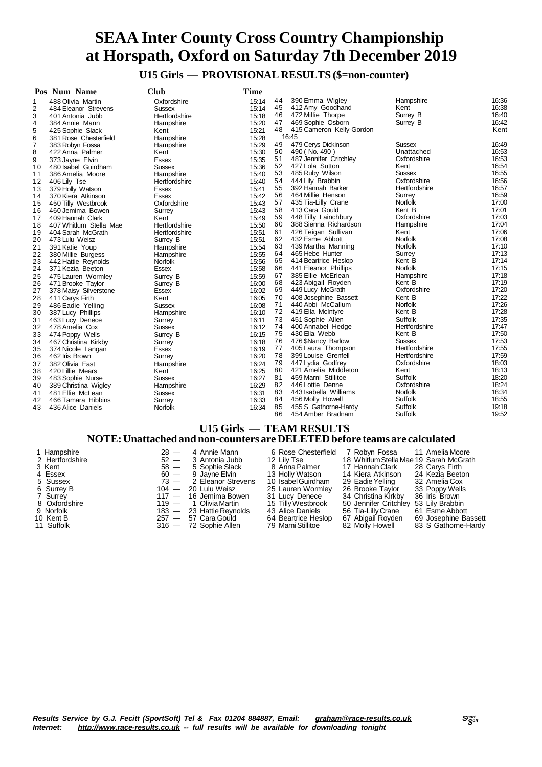**U15 Girls — PROVISIONAL RESULTS (\$=non-counter)**

|          | Pos Num Name           | <b>Club</b>    | Time  |          |                          |                     |       |
|----------|------------------------|----------------|-------|----------|--------------------------|---------------------|-------|
| 1        | 488 Olivia Martin      | Oxfordshire    | 15:14 | 44       | 390 Emma Wigley          | Hampshire           | 16:36 |
| 2        | 484 Eleanor Strevens   | <b>Sussex</b>  | 15:14 | 45       | 412 Amy Goodhand         | Kent                | 16:38 |
| 3        | 401 Antonia Jubb       | Hertfordshire  | 15:18 | 46       | 472 Millie Thorpe        | Surrey B            | 16:40 |
| 4        | 384 Annie Mann         | Hampshire      | 15:20 | 47       | 469 Sophie Osborn        | Surrey B            | 16:42 |
| 5        | 425 Sophie Slack       | Kent           | 15:21 | 48       | 415 Cameron Kelly-Gordon |                     | Kent  |
| 6        | 381 Rose Chesterfield  | Hampshire      | 15:28 |          | 16:45                    |                     |       |
| 7        | 383 Robyn Fossa        | Hampshire      | 15:29 | 49       | 479 Cerys Dickinson      | <b>Sussex</b>       | 16:49 |
| 8        | 422 Anna Palmer        | Kent           | 15:30 | 50       | 490 (No. 490)            | Unattached          | 16:53 |
| 9        | 373 Jayne Elvin        | <b>Essex</b>   | 15:35 | 51       | 487 Jennifer Critchley   | Oxfordshire         | 16:53 |
| 10       | 480 Isabel Guirdham    | <b>Sussex</b>  | 15:36 | 52       | 427 Lola Sutton          | Kent                | 16:54 |
| 11       | 386 Amelia Moore       | Hampshire      | 15:40 | 53       | 485 Ruby Wilson          | <b>Sussex</b>       | 16:55 |
| 12       | 406 Lily Tse           | Hertfordshire  | 15:40 | 54       | 444 Lily Brabbin         | Oxfordshire         | 16:56 |
| 13       | 379 Holly Watson       | Essex          | 15:41 | 55       | 392 Hannah Barker        | Hertfordshire       | 16:57 |
| 14       | 370 Kiera Atkinson     | <b>Essex</b>   | 15:42 | 56       | 464 Millie Henson        | Surrey              | 16:59 |
| 15       | 450 Tilly Westbrook    | Oxfordshire    | 15:43 | 57       | 435 Tia-Lilly Crane      | Norfolk             | 17:00 |
| 16       | 460 Jemima Bowen       | Surrey         | 15:43 | 58       | 413 Cara Gould           | Kent B              | 17:01 |
| 17       | 409 Hannah Clark       | Kent           | 15:49 | 59       | 448 Tilly Lainchbury     | Oxfordshire         | 17:03 |
| 18       | 407 Whitlum Stella Mae | Hertfordshire  | 15:50 | 60       | 388 Sienna Richardson    | Hampshire           | 17:04 |
| 19       | 404 Sarah McGrath      | Hertfordshire  | 15:51 | 61       | 426 Teigan Sullivan      | Kent                | 17:06 |
|          |                        |                |       | 62       | 432 Esme Abbott          | <b>Norfolk</b>      | 17:08 |
| 20       | 473 Lulu Weisz         | Surrey B       | 15:51 | 63       | 439 Martha Manning       | Norfolk             | 17:10 |
| 21<br>22 | 391 Katie Youp         | Hampshire      | 15:54 | 64       | 465 Hebe Hunter          | Surrey              | 17:13 |
|          | 380 Millie Burgess     | Hampshire      | 15:55 | 65       | 414 Beartrice Heslop     | Kent B              | 17:14 |
| 23       | 442 Hattie Reynolds    | <b>Norfolk</b> | 15:56 | 66       | 441 Eleanor Phillips     | <b>Norfolk</b>      | 17:15 |
| 24       | 371 Kezia Beeton       | <b>Essex</b>   | 15:58 | 67       | 385 Ellie McErlean       |                     | 17:18 |
| 25       | 475 Lauren Wormley     | Surrey B       | 15:59 |          |                          | Hampshire<br>Kent B | 17:19 |
| 26       | 471 Brooke Taylor      | Surrey B       | 16:00 | 68<br>69 | 423 Abigail Royden       | Oxfordshire         | 17:20 |
| 27       | 378 Maisy Silverstone  | Essex          | 16:02 |          | 449 Lucy McGrath         |                     |       |
| 28       | 411 Carys Firth        | Kent           | 16:05 | 70       | 408 Josephine Bassett    | Kent B              | 17:22 |
| 29       | 486 Eadie Yelling      | <b>Sussex</b>  | 16:08 | 71       | 440 Abbi McCallum        | Norfolk             | 17:26 |
| 30       | 387 Lucy Phillips      | Hampshire      | 16:10 | 72       | 419 Ella McIntyre        | Kent B              | 17:28 |
| 31       | 463 Lucy Denece        | Surrey         | 16:11 | 73       | 451 Sophie Allen         | Suffolk             | 17:35 |
| 32       | 478 Amelia Cox         | <b>Sussex</b>  | 16:12 | 74       | 400 Annabel Hedge        | Hertfordshire       | 17:47 |
| 33       | 474 Poppy Wells        | Surrey B       | 16:15 | 75       | 430 Ella Webb            | Kent B              | 17:50 |
| 34       | 467 Christina Kirkby   | Surrey         | 16:18 | 76       | 476 \$Nancy Barlow       | <b>Sussex</b>       | 17:53 |
| 35       | 374 Nicole Langan      | Essex          | 16:19 | 77       | 405 Laura Thompson       | Hertfordshire       | 17:55 |
| 36       | 462 Iris Brown         | Surrey         | 16:20 | 78       | 399 Louise Grenfell      | Hertfordshire       | 17:59 |
| 37       | 382 Olivia East        | Hampshire      | 16:24 | 79       | 447 Lydia Godfrey        | Oxfordshire         | 18:03 |
| 38       | 420 Lillie Mears       | Kent           | 16:25 | 80       | 421 Amelia Middleton     | Kent                | 18:13 |
| 39       | 483 Sophie Nurse       | Sussex         | 16:27 | 81       | 459 Marni Stillitoe      | Suffolk             | 18:20 |
| 40       | 389 Christina Wigley   | Hampshire      | 16:29 | 82       | 446 Lottie Denne         | Oxfordshire         | 18:24 |
| 41       | 481 Ellie McLean       | Sussex         | 16:31 | 83       | 443 Isabella Williams    | Norfolk             | 18:34 |
| 42       | 466 Tamara Hibbins     | Surrey         | 16:33 | 84       | 456 Molly Howell         | Suffolk             | 18:55 |
| 43       | 436 Alice Daniels      | Norfolk        | 16:34 | 85       | 455 S Gathorne-Hardy     | Suffolk             | 19:18 |
|          |                        |                |       | 86       | 454 Amber Bradnam        | Suffolk             | 19:52 |

### **U15 Girls — TEAM RESULTS**

### **NOTE:Unattached and non-counters are DELETEDbefore teams are calculated**

| 1 Hampshire<br>2 Hertfordshire<br>3 Kent<br>4 Essex<br>5 Sussex<br>6 Surrey B<br>7 Surrey<br>8 Oxfordshire<br>9 Norfolk<br>10 Kent B | $28 -$<br>$52 -$<br>$58 -$ | 4 Annie Mann<br>3 Antonia Jubb<br>5 Sophie Slack<br>$60 - 9$ Jayne Elvin<br>$73 - 2$ Eleanor Strevens<br>$104 - 20$ Lulu Weisz<br>$117 - 16$ Jemima Bowen<br>119 — 1 Olivia Martin<br>$183 - 23$ Hattie Reynolds<br>$257 - 57$ Cara Gould | 6 Rose Chesterfield<br>12 Lilv Tse<br>8 Anna Palmer<br>13 Holly Watson<br>10 Isabel Guirdham<br>25 Lauren Wormley<br>31 Lucy Denece<br>15 Tilly Westbrook<br>43 Alice Daniels<br>64 Beartrice Heslop | 7 Robyn Fossa<br>18 Whitlum Stella Mae 19 Sarah McGrath<br>17  Hannah Clark<br>14 Kiera Atkinson<br>29 Eadie Yelling<br>26 Brooke Tavlor<br>34 Christina Kirkby<br>50 Jennifer Critchley 53 Lily Brabbin<br>56 Tia-Lilly Crane<br>67 Abigail Royden | 11 Amelia Moore<br>28 Carvs Firth<br>24 Kezia Beeton<br>32 Amelia Cox<br>33 Poppy Wells<br>36 Iris Brown<br>61 Esme Abbott<br>69 Josephine Bassett |
|--------------------------------------------------------------------------------------------------------------------------------------|----------------------------|-------------------------------------------------------------------------------------------------------------------------------------------------------------------------------------------------------------------------------------------|------------------------------------------------------------------------------------------------------------------------------------------------------------------------------------------------------|-----------------------------------------------------------------------------------------------------------------------------------------------------------------------------------------------------------------------------------------------------|----------------------------------------------------------------------------------------------------------------------------------------------------|
| 11 Suffolk                                                                                                                           |                            | $316 - 72$ Sophie Allen                                                                                                                                                                                                                   | 79 Marni Stillitoe                                                                                                                                                                                   | 82 Molly Howell                                                                                                                                                                                                                                     | 83 S Gathorne-Hardy                                                                                                                                |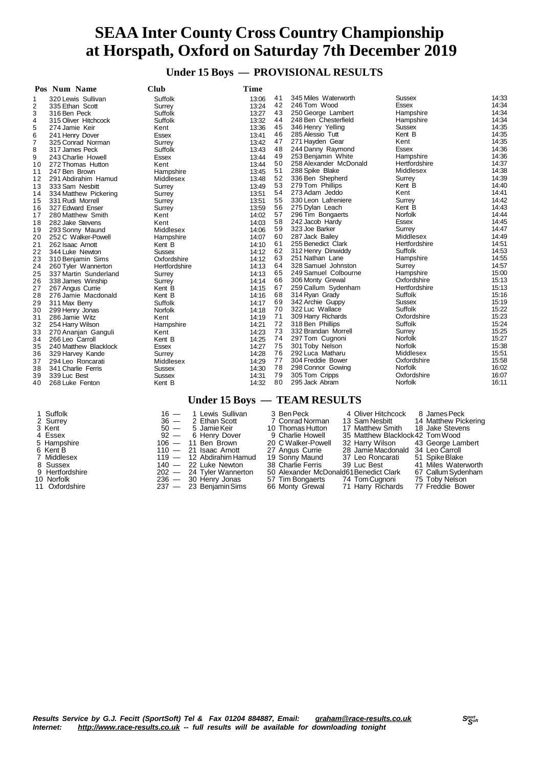**Under 15 Boys — PROVISIONAL RESULTS**

|                | Pos Num Name                                                                                | <b>Club</b>    | Time  |          |                                     |                      |                |  |  |  |  |
|----------------|---------------------------------------------------------------------------------------------|----------------|-------|----------|-------------------------------------|----------------------|----------------|--|--|--|--|
| 1              | 320 Lewis Sullivan                                                                          | Suffolk        | 13:06 | 41       | 345 Miles Waterworth                | Sussex               | 14:33          |  |  |  |  |
| 2              | 335 Ethan Scott                                                                             | Surrey         | 13:24 | 42       | 246 Tom Wood                        | Essex                | 14:34          |  |  |  |  |
| 3              | 316 Ben Peck                                                                                | Suffolk        | 13:27 | 43       | 250 George Lambert                  | Hampshire            | 14:34          |  |  |  |  |
| 4              | 315 Oliver Hitchcock                                                                        | Suffolk        | 13:32 | 44       | 248 Ben Chesterfield                | Hampshire            | 14:34          |  |  |  |  |
| 5              | 274 Jamie Keir                                                                              | Kent           | 13:36 | 45       | 346 Henry Yelling                   | Sussex               | 14:35          |  |  |  |  |
| 6              | 241 Henry Dover                                                                             | Essex          | 13:41 | 46       | 285 Alessio Tutt                    | Kent B               | 14:35          |  |  |  |  |
| $\overline{7}$ | 325 Conrad Norman                                                                           | Surrey         | 13:42 | 47       | 271 Hayden Gear                     | Kent                 | 14:35          |  |  |  |  |
| 8              | 317 James Peck                                                                              | Suffolk        | 13:43 | 48       | 244 Danny Raymond                   | Essex                | 14:36          |  |  |  |  |
| 9              | 243 Charlie Howell                                                                          | Essex          | 13:44 | 49       | 253 Benjamin White                  | Hampshire            | 14:36          |  |  |  |  |
| 10             | 272 Thomas Hutton                                                                           | Kent           | 13:44 | 50       | 258 Alexander McDonald              | Hertfordshire        | 14:37          |  |  |  |  |
| 11             | 247 Ben Brown                                                                               | Hampshire      | 13:45 | 51       | 288 Spike Blake                     | Middlesex            | 14:38          |  |  |  |  |
| 12             | 291 Abdirahim Hamud                                                                         | Middlesex      | 13:48 | 52       | 336 Ben Shepherd                    | Surrey               | 14:39          |  |  |  |  |
| 13             | 333 Sam Nesbitt                                                                             | Surrey         | 13:49 | 53       | 279 Tom Phillips                    | Kent B               | 14:40          |  |  |  |  |
| 14             | 334 Matthew Pickering                                                                       | Surrey         | 13:51 | 54       | 273 Adam Jeddo                      | Kent                 | 14:41          |  |  |  |  |
| 15             | 331 Rudi Morrell                                                                            | Surrey         | 13:51 | 55       | 330 Leon Lafreniere                 | Surrey               | 14:42          |  |  |  |  |
| 16             | 327 Edward Enser                                                                            | Surrey         | 13:59 | 56       | 275 Dylan Leach                     | Kent B               | 14:43          |  |  |  |  |
| 17             | 280 Matthew Smith                                                                           | Kent           | 14:02 | 57       | 296 Tim Bongaerts                   | <b>Norfolk</b>       | 14:44          |  |  |  |  |
| 18             | 282 Jake Stevens                                                                            | Kent           | 14:03 | 58       | 242 Jacob Hardy                     | <b>Essex</b>         | 14:45          |  |  |  |  |
| 19             | 293 Sonny Maund                                                                             | Middlesex      | 14:06 | 59       | 323 Joe Barker                      | Surrey               | 14:47          |  |  |  |  |
| 20             | 252 C Walker-Powell                                                                         | Hampshire      | 14:07 | 60       | 287 Jack Bailey                     | Middlesex            | 14:49          |  |  |  |  |
| 21             | 262 Isaac Arnott                                                                            | Kent B         | 14:10 | 61       | 255 Benedict Clark                  | Hertfordshire        | 14:51          |  |  |  |  |
| 22             | 344 Luke Newton                                                                             | <b>Sussex</b>  | 14:12 | 62       | 312 Henry Dinwiddy                  | Suffolk              | 14:53          |  |  |  |  |
| 23             | 310 Benjamin Sims                                                                           | Oxfordshire    | 14:12 | 63       | 251 Nathan Lane                     | Hampshire            | 14:55          |  |  |  |  |
| 24             | 260 Tyler Wannerton                                                                         | Hertfordshire  | 14:13 | 64       | 328 Samuel Johnston                 | Surrey               | 14:57          |  |  |  |  |
| 25             | 337 Martin Sunderland                                                                       | Surrey         | 14:13 | 65       | 249 Samuel Colbourne                | Hampshire            | 15:00          |  |  |  |  |
| 26             | 338 James Winship                                                                           | Surrey         | 14:14 | 66       | 306 Monty Grewal                    | Oxfordshire          | 15:13          |  |  |  |  |
| 27             | 267 Angus Currie                                                                            | Kent B         | 14:15 | 67       | 259 Callum Sydenham                 | Hertfordshire        | 15:13          |  |  |  |  |
| 28             | 276 Jamie Macdonald                                                                         | Kent B         | 14:16 | 68       | 314 Ryan Grady                      | Suffolk              | 15:16          |  |  |  |  |
| 29             | 311 Max Berry                                                                               | Suffolk        | 14:17 | 69       | 342 Archie Guppy                    | Sussex               | 15:19          |  |  |  |  |
| 30             | 299 Henry Jonas                                                                             | <b>Norfolk</b> | 14:18 | 70       | 322 Luc Wallace                     | Suffolk              | 15:22          |  |  |  |  |
| 31             | 286 Jamie Witz                                                                              | Kent           | 14:19 | 71       | 309 Harry Richards                  | Oxfordshire          | 15:23          |  |  |  |  |
| 32             | 254 Harry Wilson                                                                            | Hampshire      | 14:21 | 72       | 318 Ben Phillips                    | Suffolk              | 15:24          |  |  |  |  |
| 33             | 270 Ananjan Ganguli                                                                         | Kent           | 14:23 | 73       | 332 Brandan Morrell                 | Surrey               | 15:25          |  |  |  |  |
| 34             | 266 Leo Carroll                                                                             | Kent B         | 14:25 | 74       | 297 Tom Cugnoni                     | <b>Norfolk</b>       | 15:27          |  |  |  |  |
| 35             | 240 Matthew Blacklock                                                                       | <b>Essex</b>   | 14:27 | 75<br>76 | 301 Toby Nelson<br>292 Luca Matharu | Norfolk<br>Middlesex | 15:38          |  |  |  |  |
| 36             | 329 Harvey Kande                                                                            | Surrey         | 14:28 | 77       | 304 Freddie Bower                   | Oxfordshire          | 15:51<br>15:58 |  |  |  |  |
| 37             | 294 Leo Roncarati                                                                           | Middlesex      | 14:29 | 78       |                                     | <b>Norfolk</b>       | 16:02          |  |  |  |  |
| 38             | 341 Charlie Ferris                                                                          | <b>Sussex</b>  | 14:30 | 79       | 298 Connor Gowing<br>305 Tom Cripps | Oxfordshire          | 16:07          |  |  |  |  |
| 39             | 339 Luc Best                                                                                | <b>Sussex</b>  | 14:31 | 80       | 295 Jack Abram                      | Norfolk              | 16:11          |  |  |  |  |
| 40             | 268 Luke Fenton                                                                             | Kent B         | 14:32 |          |                                     |                      |                |  |  |  |  |
|                |                                                                                             |                |       |          | Under 15 Boys - TEAM RESULTS        |                      |                |  |  |  |  |
|                | 1 Suffolk<br>1 Lewis Sullivan<br>3 Ben Peck<br>4 Oliver Hitchcock<br>8 James Peck<br>$16 -$ |                |       |          |                                     |                      |                |  |  |  |  |

#### 2 Surrey 16 — 1 Lewis Sullivan 3 Ben Peck 1 Surrey 13 Carry<br>
3 Kent 36 — 2 Ethan Scott 10 Thomas Hutton 11 Sam Nesbitt 14 Matthew Pickering<br>
3 Kent 50 — 5 Jamie Keir 10 Thomas Hutton 17 Matthew Smith 18 Jake Stevens<br>
4 Ess Kent 50 — 5 JamieKeir 10 Thomas Hutton 17 Matthew Smith 18 Jake Stevens 4 Essex 92 — 6 Henry Dover 9 Charlie Howell 35 Matthew Blacklock42 TomWood 5 Hampshire 106 — 11 Ben Brown 20 C Walker-Powell 32 Harry Wilson 43 George Lambert Kent B 110 — 21 Isaac Arnott 27 Angus Currie 28 JamieMacdonald 34 Leo Carroll Middlesex 119 — 12 AbdirahimHamud 19 Sonny Maund 37 Leo Roncarati 51 SpikeBlake Sussex 140 — 22 Luke Newton 38 Charlie Ferris 39 Luc Best 41 Miles Waterworth 9 Middlesex<br>
19 - 12 Abdirahim Hamud 19 Sonny Maund 27 Lee Roncarati 51 Spike Blake<br>
8 Sussex 140 - 22 Luke Newton 38 Charlie Ferris 39 Luc Best 41 Miles Waterworth<br>
9 Hertfordshire 202 - 24 Tyler Wannerton 50 Alexander Mc Norfolk 236 — 30 Henry Jonas 57 Tim Bongaerts 74 TomCugnoni 75 Toby Nelson 11 Oxfordshire 237 — 23 BenjaminSims 66 Monty Grewal 71 Harry Richards 77 Freddie Bower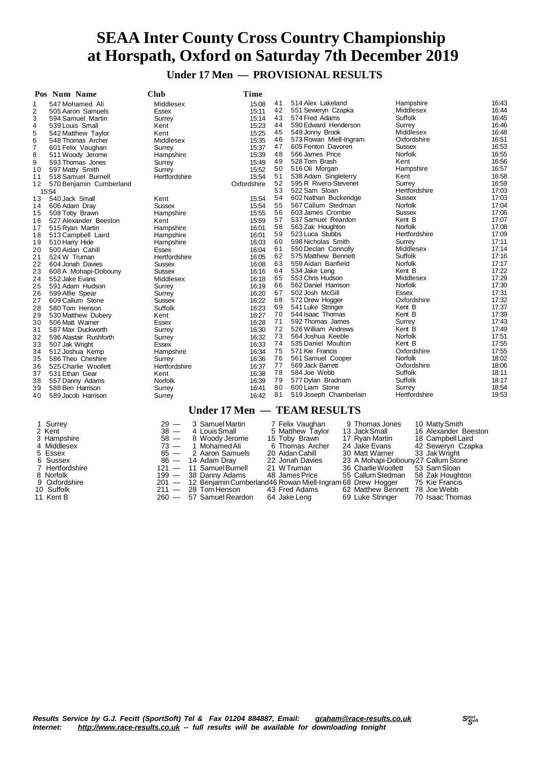**Under 17 Men — PROVISIONAL RESULTS**

|                | Pos Num Name            | Club           | Time        |    |                             |                |       |
|----------------|-------------------------|----------------|-------------|----|-----------------------------|----------------|-------|
| 1              | 547 Mohamed Ali         | Middlesex      | 15:08       | 41 | 514 Alex Lakeland           | Hampshire      | 16:43 |
| $\overline{2}$ | 505 Aaron Samuels       | <b>Essex</b>   | 15:11       | 42 | 551 Seweryn Czapka          | Middlesex      | 16:44 |
| 3              | 594 Samuel Martin       | Surrey         | 15:14       | 43 | 574 Fred Adams              | Suffolk        | 16:45 |
| 4              | 539 Louis Small         | Kent           | 15:23       | 44 | 590 Edward Henderson        | Surrey         | 16:46 |
| 5              | 542 Matthew Taylor      | Kent           | 15:25       | 45 | 549 Jonny Brook             | Middlesex      | 16:48 |
| 6              | 548 Thomas Archer       | Middlesex      | 15:35       | 46 | 573 Rowan Miell-Ingram      | Oxfordshire    | 16:51 |
| $\overline{7}$ | 601 Felix Vaughan       | Surrey         | 15:37       | 47 | 605 Fenton Davoren          | <b>Sussex</b>  | 16:53 |
| 8              | 511 Woody Jerome        | Hampshire      | 15:39       | 48 | 566 James Price             | Norfolk        | 16:55 |
| 9              | 593 Thomas Jones        | Surrey         | 15:49       | 49 | 528 Tom Brash               | Kent           | 16:56 |
| 10             | 597 Matty Smith         | Surrey         | 15:52       | 50 | 516 Oli Morgan              | Hampshire      | 16:57 |
| 11             | 518 Samuel Burnell      | Hertfordshire  | 15:54       | 51 | 538 Adam Singleterry        | Kent           | 16:58 |
| 12             | 570 Benjamin Cumberland |                | Oxfordshire | 52 | 595 R Rivero-Stevenet       | Surrey         | 16:59 |
|                | 15:54                   |                |             | 53 | 522 Sam Sloan               | Hertfordshire  | 17:03 |
| 13             | 540 Jack Small          | Kent           | 15:54       | 54 | 602 Nathan Buckeridge       | <b>Sussex</b>  | 17:03 |
| 14             | 606 Adam Dray           | Sussex         | 15:54       | 55 | 567 Callum Stedman          | Norfolk        | 17:04 |
| 15             | 508 Toby Brawn          | Hampshire      | 15:55       | 56 | 603 James Crombie           | <b>Sussex</b>  | 17:06 |
| 16             | 527 Alexander Beeston   | Kent           | 15:59       | 57 | 537 Samuel Reardon          | Kent B         | 17:07 |
| 17             | 515 Ryan Martin         | Hampshire      | 16:01       | 58 | 563 Zak Houghton            | <b>Norfolk</b> | 17:08 |
| 18             | 513 Campbell Laird      | Hampshire      | 16:01       | 59 | 523 Luca Stubbs             | Hertfordshire  | 17:09 |
| 19             | 510 Harry Hide          | Hampshire      | 16:03       | 60 | 598 Nicholas Smith          | Surrey         | 17:11 |
| 20             | 500 Aidan Cahill        | Essex          | 16:04       | 61 | 550 Declan Connolly         | Middlesex      | 17:14 |
| 21             | 524 W Truman            | Hertfordshire  | 16:05       | 62 | 575 Matthew Bennett         | Suffolk        | 17:16 |
| 22             | 604 Jonah Davies        | <b>Sussex</b>  | 16:08       | 63 | 559 Aidan Banfield          | Norfolk        | 17:17 |
| 23             | 608 A Mohapi-Dobouny    | <b>Sussex</b>  | 16:16       | 64 | 534 Jake Leng               | Kent B         | 17:22 |
| 24             | 552 Jake Evans          | Middlesex      | 16:18       | 65 | 553 Chris Hudson            | Middlesex      | 17:29 |
| 25             | 591 Adam Hudson         | Surrey         | 16:19       | 66 | 562 Daniel Harrison         | <b>Norfolk</b> | 17:30 |
| 26             | 599 Alfie Spear         | Surrey         | 16:20       | 67 | 502 Josh McGill             | <b>Essex</b>   | 17:31 |
| 27             | 609 Callum Stone        | <b>Sussex</b>  | 16:22       | 68 | 572 Drew Hogger             | Oxfordshire    | 17:32 |
| 28             | 580 Tom Henson          | Suffolk        | 16:23       | 69 | 541 Luke Stringer           | Kent B         | 17:37 |
| 29             | 530 Matthew Dubery      | Kent           | 16:27       | 70 | 544 Isaac Thomas            | Kent B         | 17:39 |
| 30             | 506 Matt Warner         | <b>Essex</b>   | 16:28       | 71 | 592 Thomas James            | Surrey         | 17:43 |
| 31             | 587 Max Duckworth       | Surrey         | 16:30       | 72 | 526 William Andrews         | Kent B         | 17:49 |
| 32             | 596 Alastair Rushforth  | Surrey         | 16:32       | 73 | 564 Joshua Keeble           | <b>Norfolk</b> | 17:51 |
| 33             | 507 Jak Wright          | Essex          | 16:33       | 74 | 535 Daniel Moulton          | Kent B         | 17:55 |
| 34             | 512 Joshua Kemp         | Hampshire      | 16:34       | 75 | 571 Kie Francis             | Oxfordshire    | 17:55 |
| 35             | 586 Theo Cheshire       | Surrey         | 16:36       | 76 | 561 Samuel Cooper           | Norfolk        | 18:02 |
| 36             | 525 Charlie Woollett    | Hertfordshire  | 16:37       | 77 | 569 Jack Barrett            | Oxfordshire    | 18:06 |
| 37             | 531 Ethan Gear          | Kent           | 16:38       | 78 | 584 Joe Webb                | Suffolk        | 18:11 |
| 38             | 557 Danny Adams         | <b>Norfolk</b> | 16:39       | 79 | 577 Dylan Bradnam           | Suffolk        | 18:17 |
| 39             | 588 Ben Harrison        | Surrey         | 16:41       | 80 | 600 Liam Stone              | Surrey         | 18:54 |
| 40             | 589 Jacob Harrison      | Surrey         | 16:42       | 81 | 519 Joseph Chamberlain      | Hertfordshire  | 19:53 |
|                |                         |                |             |    | Under 17 Men - TEAM RESULTS |                |       |
|                |                         |                |             |    |                             |                |       |

| 1 Surrey        | $29 -$ | 3 Samuel Martin                                                   | 7 Felix Vaughan  | 9 Thomas Jones                     | 10 Matty Smith       |
|-----------------|--------|-------------------------------------------------------------------|------------------|------------------------------------|----------------------|
| 2 Kent          |        | 38 — 4 Louis Small                                                | 5 Matthew Taylor | 13 Jack Small                      | 16 Alexander Beeston |
| 3 Hampshire     |        | 58 - 8 Woody Jerome                                               | 15 Toby Brawn    | 17 Ryan Martin                     | 18 Campbell Laird    |
| 4 Middlesex     |        | 73 — 1 Mohamed Ali                                                | 6 Thomas Archer  | 24 Jake Evans                      | 42 Seweryn Czapka    |
| 5 Essex         |        | 85 - 2 Aaron Samuels                                              | 20 Aidan Cahill  | 30 Matt Warner                     | 33 Jak Wright        |
| 6 Sussex        |        | 86 — 14 Adam Dray                                                 | 22 Jonah Davies  | 23 A Mohapi-Dobouny27 Callum Stone |                      |
| 7 Hertfordshire |        | $121 - 11$ Samuel Burnell                                         | 21 W Truman      | 36 Charlie Woollett                | 53 Sam Sloan         |
| 8 Norfolk       |        | 199 - 38 Danny Adams                                              | 48 James Price   | 55 Callum Stedman 58 Zak Houghton  |                      |
| 9 Oxfordshire   |        | 201 - 12 Benjamin Cumberland 46 Rowan Miell-Ingram 68 Drew Hogger |                  |                                    | 75 Kie Francis       |
| 10 Suffolk      |        | $211 - 28$ Tom Henson                                             | 43 Fred Adams    | 62 Matthew Bennett 78 Joe Webb     |                      |
| 11 Kent B       |        | 260 - 57 Samuel Reardon                                           | 64 Jake Leng     | 69 Luke Stringer                   | 70 Isaac Thomas      |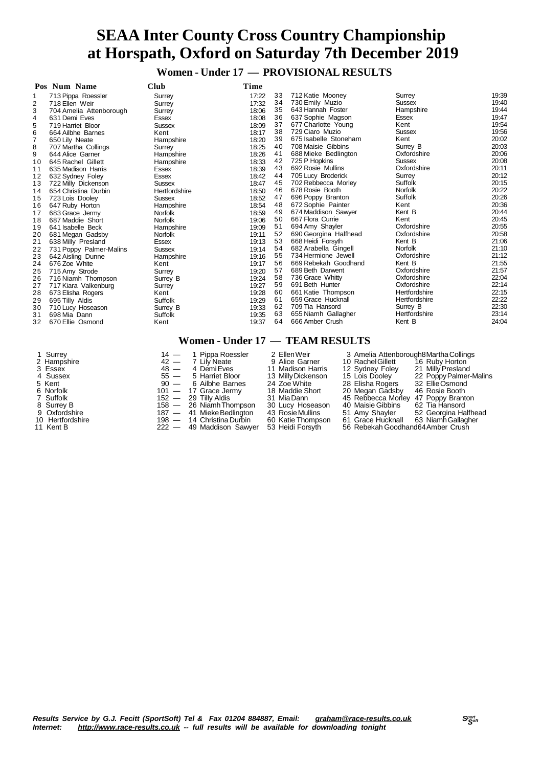**Women - Under 17 — PROVISIONAL RESULTS**

|                | Pos Num Name            | Club           | Time  |    |                       |                |       |
|----------------|-------------------------|----------------|-------|----|-----------------------|----------------|-------|
|                | 713 Pippa Roessler      | Surrey         | 17:22 | 33 | 712 Katie Mooney      | Surrey         | 19:39 |
| $\overline{2}$ | 718 Ellen Weir          | Surrey         | 17:32 | 34 | 730 Emily Muzio       | <b>Sussex</b>  | 19:40 |
| 3              | 704 Amelia Attenborough | Surrey         | 18:06 | 35 | 643 Hannah Foster     | Hampshire      | 19:44 |
| 4              | 631 Demi Eves           | Essex          | 18:08 | 36 | 637 Sophie Magson     | Essex          | 19:47 |
| 5              | 719 Harriet Bloor       | <b>Sussex</b>  | 18:09 | 37 | 677 Charlotte Young   | Kent           | 19:54 |
| 6              | 664 Ailbhe Barnes       | Kent           | 18:17 | 38 | 729 Ciaro Muzio       | <b>Sussex</b>  | 19:56 |
| $\overline{7}$ | 650 Lily Neate          | Hampshire      | 18:20 | 39 | 675 Isabelle Stoneham | Kent           | 20:02 |
| 8              | 707 Martha Collings     | Surrey         | 18:25 | 40 | 708 Maisie Gibbins    | Surrey B       | 20:03 |
| 9              | 644 Alice Garner        | Hampshire      | 18:26 | 41 | 688 Mieke Bedlington  | Oxfordshire    | 20:06 |
| 10             | 645 Rachel Gillett      | Hampshire      | 18:33 | 42 | 725 P Hopkins         | <b>Sussex</b>  | 20:08 |
| 11             | 635 Madison Harris      | <b>Essex</b>   | 18:39 | 43 | 692 Rosie Mullins     | Oxfordshire    | 20:11 |
| 12             | 632 Sydney Foley        | Essex          | 18:42 | 44 | 705 Lucy Broderick    | Surrey         | 20:12 |
| 13             | 722 Milly Dickenson     | <b>Sussex</b>  | 18:47 | 45 | 702 Rebbecca Morley   | Suffolk        | 20:15 |
| 14             | 654 Christina Durbin    | Hertfordshire  | 18:50 | 46 | 678 Rosie Booth       | <b>Norfolk</b> | 20:22 |
| 15             | 723 Lois Dooley         | <b>Sussex</b>  | 18:52 | 47 | 696 Poppy Branton     | Suffolk        | 20:26 |
| 16             | 647 Ruby Horton         | Hampshire      | 18:54 | 48 | 672 Sophie Painter    | Kent           | 20:36 |
| 17             | 683 Grace Jermy         | <b>Norfolk</b> | 18:59 | 49 | 674 Maddison Sawyer   | Kent B         | 20:44 |
| 18             | 687 Maddie Short        | <b>Norfolk</b> | 19:06 | 50 | 667 Flora Currie      | Kent           | 20:45 |
| 19             | 641 Isabelle Beck       | Hampshire      | 19:09 | 51 | 694 Amy Shayler       | Oxfordshire    | 20:55 |
| 20             | 681 Megan Gadsby        | <b>Norfolk</b> | 19:11 | 52 | 690 Georgina Halfhead | Oxfordshire    | 20:58 |
| 21             | 638 Milly Presland      | Essex          | 19:13 | 53 | 668 Heidi Forsyth     | Kent B         | 21:06 |
| 22             | 731 Poppy Palmer-Malins | <b>Sussex</b>  | 19:14 | 54 | 682 Arabella Gingell  | <b>Norfolk</b> | 21:10 |
| 23             | 642 Aisling Dunne       | Hampshire      | 19:16 | 55 | 734 Hermione Jewell   | Oxfordshire    | 21:12 |
| 24             | 676 Zoe White           | Kent           | 19:17 | 56 | 669 Rebekah Goodhand  | Kent B         | 21:55 |
| 25             | 715 Amy Strode          | Surrey         | 19:20 | 57 | 689 Beth Darwent      | Oxfordshire    | 21:57 |
| 26             | 716 Niamh Thompson      | Surrey B       | 19:24 | 58 | 736 Grace Whitty      | Oxfordshire    | 22:04 |
| 27             | 717 Kiara Valkenburg    | Surrey         | 19:27 | 59 | 691 Beth Hunter       | Oxfordshire    | 22:14 |
| 28             | 673 Elisha Rogers       | Kent           | 19:28 | 60 | 661 Katie Thompson    | Hertfordshire  | 22:15 |
| 29             | 695 Tilly Aldis         | <b>Suffolk</b> | 19:29 | 61 | 659 Grace Hucknall    | Hertfordshire  | 22:22 |
| 30             | 710 Lucy Hoseason       | Surrey B       | 19:33 | 62 | 709 Tia Hansord       | Surrey B       | 22:30 |
| 31             | 698 Mia Dann            | Suffolk        | 19:35 | 63 | 655 Niamh Gallagher   | Hertfordshire  | 23:14 |
| 32             | 670 Ellie Osmond        | Kent           | 19:37 | 64 | 666 Amber Crush       | Kent B         | 24:04 |

### **Women - Under 17 — TEAM RESULTS**

| 1 Surrey         |        | $14 - 1$ Pippa Roessler   | 2 Ellen Weir       | 3 Amelia Attenborough8Martha Collings |                        |
|------------------|--------|---------------------------|--------------------|---------------------------------------|------------------------|
| 2 Hampshire      |        | $42 - 7$ Lily Neate       | 9 Alice Garner     | 10 Rachel Gillett                     | 16 Ruby Horton         |
| 3 Essex          | $48 -$ | 4 Demi Eves               | 11 Madison Harris  | 12 Sydney Foley                       | 21 Milly Presland      |
| 4 Sussex         |        | 55 - 5 Harriet Bloor      | 13 Milly Dickenson | 15 Lois Dooley                        | 22 Poppy Palmer-Malins |
| 5 Kent           | $90 -$ | 6 Ailbhe Barnes           | 24 Zoe White       | 28 Elisha Rogers                      | 32 Ellie Osmond        |
| 6 Norfolk        |        | $101 - 17$ Grace Jermy    | 18 Maddie Short    | 20 Megan Gadsby                       | 46 Rosie Booth         |
| 7 Suffolk        |        | $152 - 29$ Tilly Aldis    | 31 Mia Dann        | 45 Rebbecca Morley                    | 47 Poppy Branton       |
| 8 Surrey B       |        | 158 - 26 Niamh Thompson   | 30 Lucy Hoseason   | 40 Maisie Gibbins                     | 62 Tia Hansord         |
| 9 Oxfordshire    |        | 187 - 41 Mieke Bedlington | 43 Rosie Mullins   | 51 Amy Shayler                        | 52 Georgina Halfhead   |
| 10 Hertfordshire |        | 198 — 14 Christina Durbin | 60 Katie Thompson  | 61 Grace Hucknall                     | 63 Niamh Gallagher     |
| 11 Kent B        |        | 222 - 49 Maddison Sawyer  | 53 Heidi Forsvth   | 56 Rebekah Goodhand64Amber Crush      |                        |
|                  |        |                           |                    |                                       |                        |